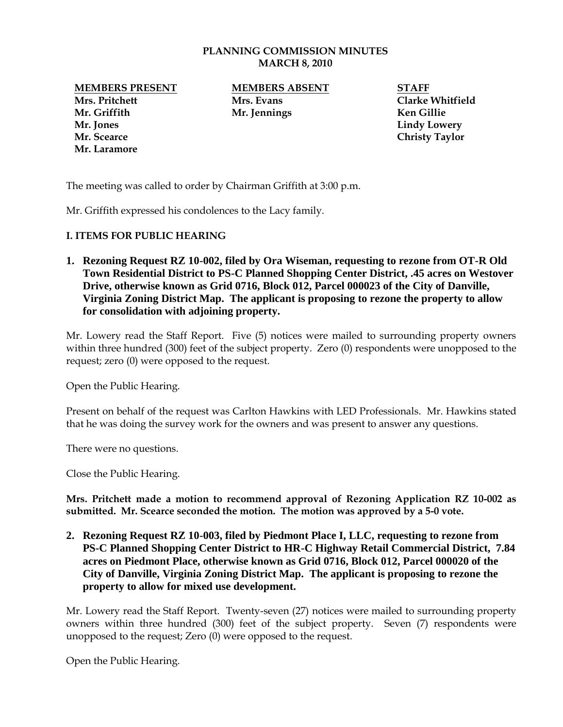## **PLANNING COMMISSION MINUTES MARCH 8, 2010**

**Mrs. Pritchett Mrs. Evans Clarke Whitfield Mr. Griffith Mr. Jennings Ken Gillie Mr. Jones Lindy Lowery Mr. Scearce Christy Taylor Mr. Laramore**

**MEMBERS PRESENT MEMBERS ABSENT STAFF**

The meeting was called to order by Chairman Griffith at 3:00 p.m.

Mr. Griffith expressed his condolences to the Lacy family.

## **I. ITEMS FOR PUBLIC HEARING**

**1. Rezoning Request RZ 10-002, filed by Ora Wiseman, requesting to rezone from OT-R Old Town Residential District to PS-C Planned Shopping Center District, .45 acres on Westover Drive, otherwise known as Grid 0716, Block 012, Parcel 000023 of the City of Danville, Virginia Zoning District Map. The applicant is proposing to rezone the property to allow for consolidation with adjoining property.**

Mr. Lowery read the Staff Report. Five (5) notices were mailed to surrounding property owners within three hundred (300) feet of the subject property. Zero (0) respondents were unopposed to the request; zero (0) were opposed to the request.

Open the Public Hearing.

Present on behalf of the request was Carlton Hawkins with LED Professionals. Mr. Hawkins stated that he was doing the survey work for the owners and was present to answer any questions.

There were no questions.

Close the Public Hearing.

**Mrs. Pritchett made a motion to recommend approval of Rezoning Application RZ 10-002 as submitted. Mr. Scearce seconded the motion. The motion was approved by a 5-0 vote.** 

**2. Rezoning Request RZ 10-003, filed by Piedmont Place I, LLC, requesting to rezone from PS-C Planned Shopping Center District to HR-C Highway Retail Commercial District, 7.84 acres on Piedmont Place, otherwise known as Grid 0716, Block 012, Parcel 000020 of the City of Danville, Virginia Zoning District Map. The applicant is proposing to rezone the property to allow for mixed use development.**

Mr. Lowery read the Staff Report. Twenty-seven (27) notices were mailed to surrounding property owners within three hundred (300) feet of the subject property. Seven (7) respondents were unopposed to the request; Zero (0) were opposed to the request.

Open the Public Hearing.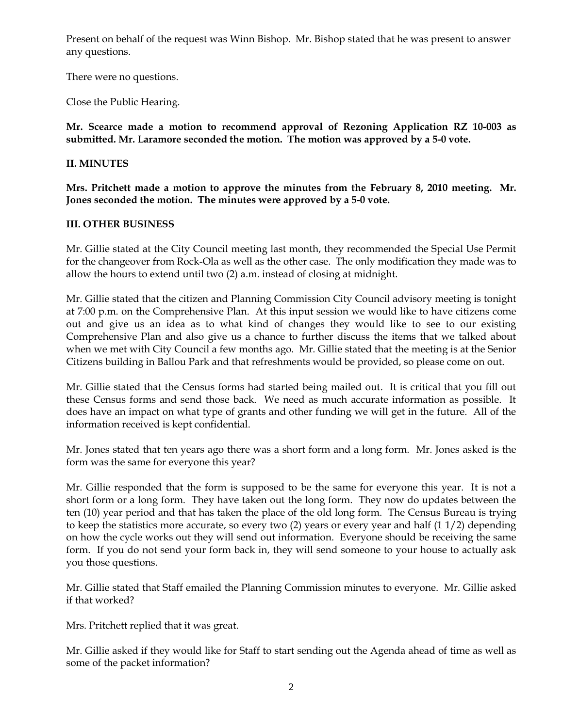Present on behalf of the request was Winn Bishop. Mr. Bishop stated that he was present to answer any questions.

There were no questions.

Close the Public Hearing.

**Mr. Scearce made a motion to recommend approval of Rezoning Application RZ 10-003 as submitted. Mr. Laramore seconded the motion. The motion was approved by a 5-0 vote.** 

## **II. MINUTES**

**Mrs. Pritchett made a motion to approve the minutes from the February 8, 2010 meeting. Mr. Jones seconded the motion. The minutes were approved by a 5-0 vote.**

## **III. OTHER BUSINESS**

Mr. Gillie stated at the City Council meeting last month, they recommended the Special Use Permit for the changeover from Rock-Ola as well as the other case. The only modification they made was to allow the hours to extend until two (2) a.m. instead of closing at midnight.

Mr. Gillie stated that the citizen and Planning Commission City Council advisory meeting is tonight at 7:00 p.m. on the Comprehensive Plan. At this input session we would like to have citizens come out and give us an idea as to what kind of changes they would like to see to our existing Comprehensive Plan and also give us a chance to further discuss the items that we talked about when we met with City Council a few months ago. Mr. Gillie stated that the meeting is at the Senior Citizens building in Ballou Park and that refreshments would be provided, so please come on out.

Mr. Gillie stated that the Census forms had started being mailed out. It is critical that you fill out these Census forms and send those back. We need as much accurate information as possible. It does have an impact on what type of grants and other funding we will get in the future. All of the information received is kept confidential.

Mr. Jones stated that ten years ago there was a short form and a long form. Mr. Jones asked is the form was the same for everyone this year?

Mr. Gillie responded that the form is supposed to be the same for everyone this year. It is not a short form or a long form. They have taken out the long form. They now do updates between the ten (10) year period and that has taken the place of the old long form. The Census Bureau is trying to keep the statistics more accurate, so every two (2) years or every year and half (1 1/2) depending on how the cycle works out they will send out information. Everyone should be receiving the same form. If you do not send your form back in, they will send someone to your house to actually ask you those questions.

Mr. Gillie stated that Staff emailed the Planning Commission minutes to everyone. Mr. Gillie asked if that worked?

Mrs. Pritchett replied that it was great.

Mr. Gillie asked if they would like for Staff to start sending out the Agenda ahead of time as well as some of the packet information?